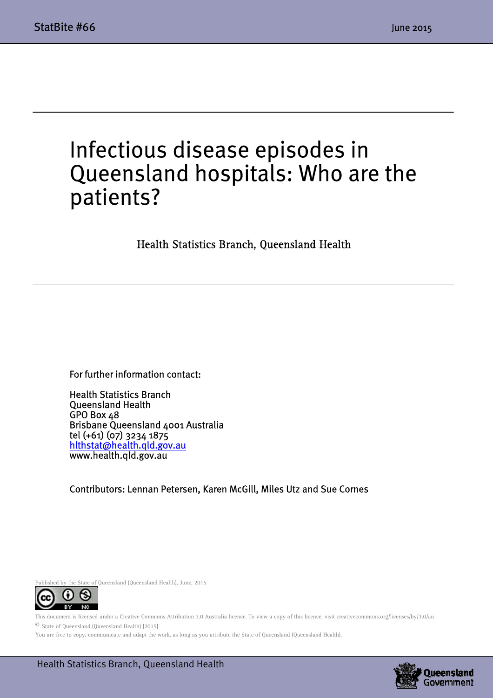$\overline{a}$ 

## Infectious disease episodes in Queensland hospitals: Who are the patients?

Health Statistics Branch, Queensland Health

For further information contact:

Health Statistics Branch Queensland Health GPO Box 48 Brisbane Queensland 4001 Australia tel (+61) (07) 3234 1875 hlthstat@health.qld.gov.au www.health.qld.gov.au

Contributors: Lennan Petersen, Karen McGill, Miles Utz and Sue Cornes



This document is licensed under a Creative Commons Attribution 3.0 Australia licence. To view a copy of this licence, visit creativecommons.org/licenses/by/3.0/au © State of Queensland (Queensland Health) [2015]

You are free to copy, communicate and adapt the work, as long as you attribute the State of Queensland (Queensland Health).

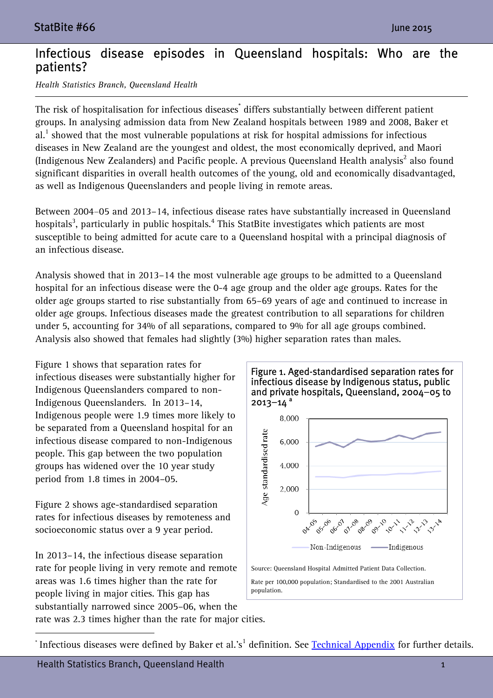## Infectious disease episodes in Queensland hospitals: Who are the patients?

*Health Statistics Branch, Queensland Health* 

The risk of hospitalisation for infectious diseases $^{\dagger}$  differs substantially between different patient groups. In analysing admission data from New Zealand hospitals between 1989 and 2008, Baker et  $al.$ <sup>1</sup> showed that the most vulnerable populations at risk for hospital admissions for infectious diseases in New Zealand are the youngest and oldest, the most economically deprived, and Maori (Indigenous New Zealanders) and Pacific people. A previous Queensland Health analysis $^2$  also found significant disparities in overall health outcomes of the young, old and economically disadvantaged, as well as Indigenous Queenslanders and people living in remote areas.

Between 2004–05 and 2013–14, infectious disease rates have substantially increased in Queensland hospitals $^3$ , particularly in public hospitals. $^4$  This StatBite investigates which patients are most susceptible to being admitted for acute care to a Queensland hospital with a principal diagnosis of an infectious disease.

Analysis showed that in 2013–14 the most vulnerable age groups to be admitted to a Queensland hospital for an infectious disease were the 0-4 age group and the older age groups. Rates for the older age groups started to rise substantially from 65–69 years of age and continued to increase in older age groups. Infectious diseases made the greatest contribution to all separations for children under 5, accounting for 34% of all separations, compared to 9% for all age groups combined. Analysis also showed that females had slightly (3%) higher separation rates than males.

Figure 1 shows that separation rates for infectious diseases were substantially higher for Indigenous Queenslanders compared to non-Indigenous Queenslanders. In 2013–14, Indigenous people were 1.9 times more likely to be separated from a Queensland hospital for an infectious disease compared to non-Indigenous people. This gap between the two population groups has widened over the 10 year study period from 1.8 times in 2004–05.

Figure 2 shows age-standardised separation rates for infectious diseases by remoteness and socioeconomic status over a 9 year period.

In 2013–14, the infectious disease separation rate for people living in very remote and remote areas was 1.6 times higher than the rate for people living in major cities. This gap has substantially narrowed since 2005–06, when the



rate was 2.3 times higher than the rate for major cities.

 $\overline{a}$ 

 $^\ast$  Infectious diseases were defined by Baker et al.'s $^1$  definition. See <u>Technical Appendix</u> for further details.